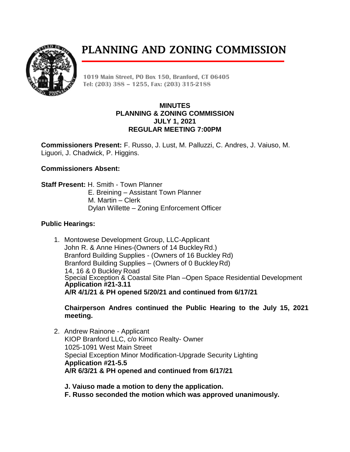PLANNING AND ZONING COMMISSION



**1019 Main Street, PO Box 150, Branford, CT 06405 Tel: (203) 388 – 1255, Fax: (203) 315-2188**

## **MINUTES PLANNING & ZONING COMMISSION JULY 1, 2021 REGULAR MEETING 7:00PM**

**Commissioners Present:** F. Russo, J. Lust, M. Palluzzi, C. Andres, J. Vaiuso, M. Liguori, J. Chadwick, P. Higgins.

# **Commissioners Absent:**

**Staff Present:** H. Smith - Town Planner E. Breining – Assistant Town Planner M. Martin – Clerk Dylan Willette – Zoning Enforcement Officer

## **Public Hearings:**

1. Montowese Development Group, LLC-Applicant John R. & Anne Hines-(Owners of 14 Buckley Rd.) Branford Building Supplies - (Owners of 16 Buckley Rd) Branford Building Supplies – (Owners of 0 BuckleyRd) 14, 16 & 0 Buckley Road Special Exception & Coastal Site Plan –Open Space Residential Development **Application #21-3.11 A/R 4/1/21 & PH opened 5/20/21 and continued from 6/17/21**

**Chairperson Andres continued the Public Hearing to the July 15, 2021 meeting.** 

- 2. Andrew Rainone Applicant KIOP Branford LLC, c/o Kimco Realty- Owner 1025-1091 West Main Street Special Exception Minor Modification-Upgrade Security Lighting **Application #21-5.5 A/R 6/3/21 & PH opened and continued from 6/17/21**
	- **J. Vaiuso made a motion to deny the application. F. Russo seconded the motion which was approved unanimously.**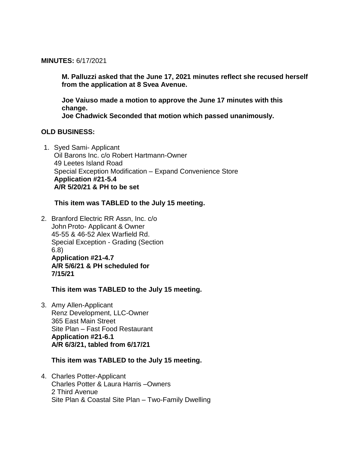#### **MINUTES:** 6/17/2021

**M. Palluzzi asked that the June 17, 2021 minutes reflect she recused herself from the application at 8 Svea Avenue.** 

**Joe Vaiuso made a motion to approve the June 17 minutes with this change.** 

**Joe Chadwick Seconded that motion which passed unanimously.**

#### **OLD BUSINESS:**

1. Syed Sami- Applicant Oil Barons Inc. c/o Robert Hartmann-Owner 49 Leetes Island Road Special Exception Modification – Expand Convenience Store **Application #21-5.4 A/R 5/20/21 & PH to be set**

## **This item was TABLED to the July 15 meeting.**

2. Branford Electric RR Assn, Inc. c/o John Proto- Applicant & Owner 45-55 & 46-52 Alex Warfield Rd. Special Exception - Grading (Section 6.8) **Application #21-4.7 A/R 5/6/21 & PH scheduled for 7/15/21**

**This item was TABLED to the July 15 meeting.**

3. Amy Allen-Applicant Renz Development, LLC-Owner 365 East Main Street Site Plan – Fast Food Restaurant **Application #21-6.1 A/R 6/3/21, tabled from 6/17/21**

## **This item was TABLED to the July 15 meeting.**

4. Charles Potter-Applicant Charles Potter & Laura Harris –Owners 2 Third Avenue Site Plan & Coastal Site Plan – Two-Family Dwelling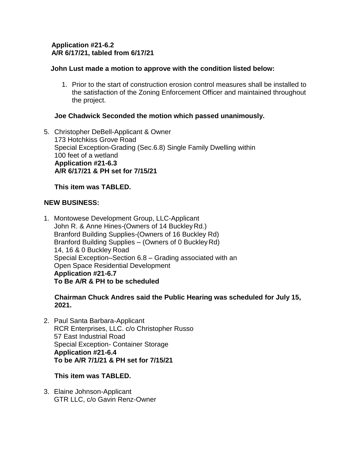## **Application #21-6.2 A/R 6/17/21, tabled from 6/17/21**

# **John Lust made a motion to approve with the condition listed below:**

1. Prior to the start of construction erosion control measures shall be installed to the satisfaction of the Zoning Enforcement Officer and maintained throughout the project.

# **Joe Chadwick Seconded the motion which passed unanimously.**

5. Christopher DeBell-Applicant & Owner 173 Hotchkiss Grove Road Special Exception-Grading (Sec.6.8) Single Family Dwelling within 100 feet of a wetland  **Application #21-6.3 A/R 6/17/21 & PH set for 7/15/21**

## **This item was TABLED.**

# **NEW BUSINESS:**

1. Montowese Development Group, LLC-Applicant John R. & Anne Hines-(Owners of 14 Buckley Rd.) Branford Building Supplies-(Owners of 16 Buckley Rd) Branford Building Supplies – (Owners of 0 BuckleyRd) 14, 16 & 0 Buckley Road Special Exception–Section 6.8 – Grading associated with an Open Space Residential Development **Application #21-6.7 To Be A/R & PH to be scheduled**

 **Chairman Chuck Andres said the Public Hearing was scheduled for July 15, 2021.**

2. Paul Santa Barbara-Applicant RCR Enterprises, LLC. c/o Christopher Russo 57 East Industrial Road Special Exception- Container Storage **Application #21-6.4 To be A/R 7/1/21 & PH set for 7/15/21**

## **This item was TABLED.**

3. Elaine Johnson-Applicant GTR LLC, c/o Gavin Renz-Owner